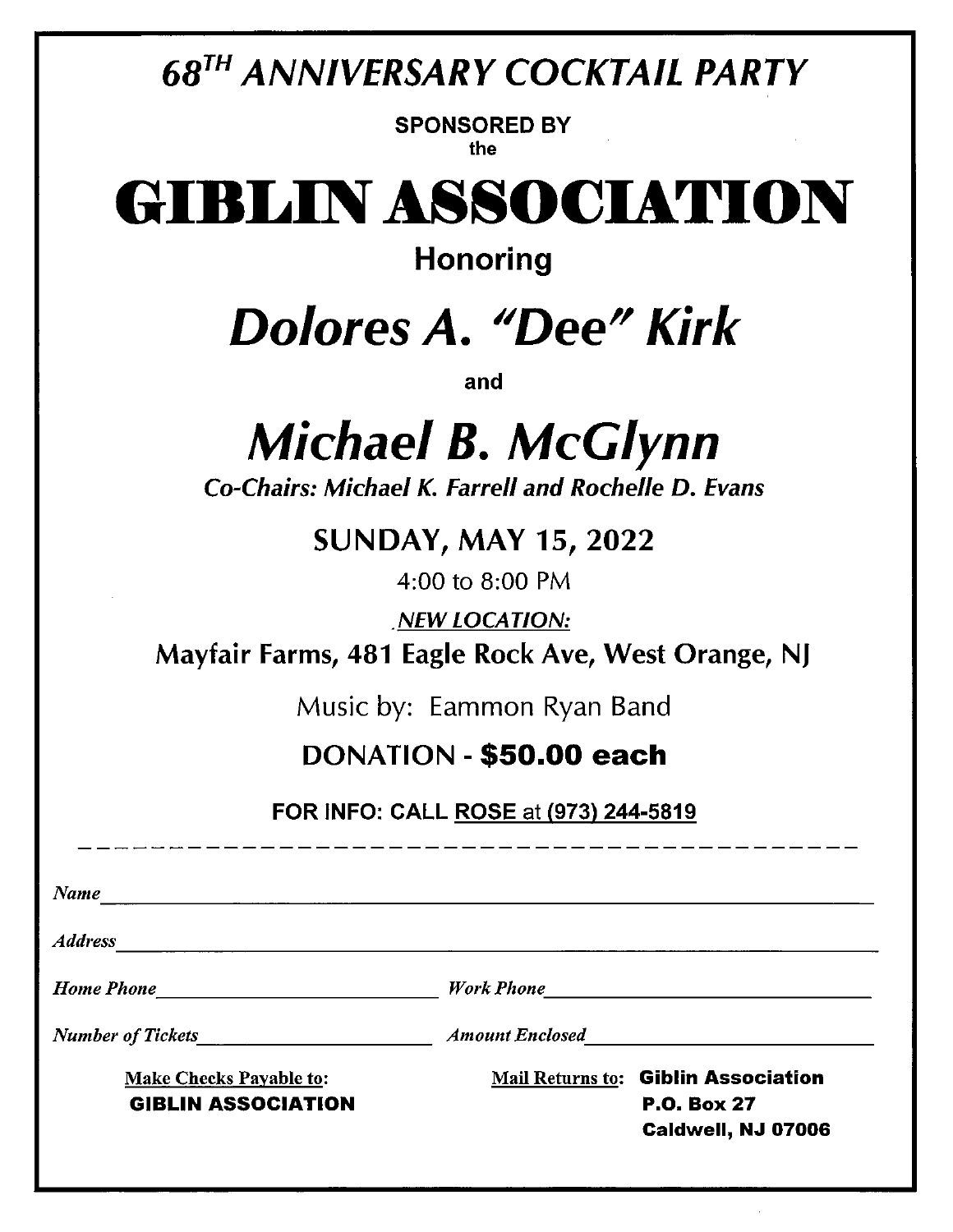### 68TH ANNIVERSARY COCKTAIL PARTY

SPONSORED BY the

# GIBL1NASSOCIATION

Honoring

### Dolores A. "Dee" Kirk

and

## Michael 8. McGlynn

Co-Chairs: Michael K. Farrell and Rochelle D. Evans

#### SUNDAY, MAY 15, 2022

4:00 to 8:00 PM

•NEW LOCATION:

Mayfair Farms, 481 Eagle Rock Aye, West Orange, NJ

Music by: Eammon Ryan Band

#### DONATION -\$50.00 each

FOR INFO: CALL ROSE at (973) 244-5819

Name **Address** Home Phone **Holders Home Work Phone Work Phone** Number of Tickets<br>  $\begin{array}{ccc}\nN$ Make Checks Payable to: Mail Returns to: **Giblin Association** GIBLIN ASSOCIATION P.O. Box 27 Caidwell, NJ 07006